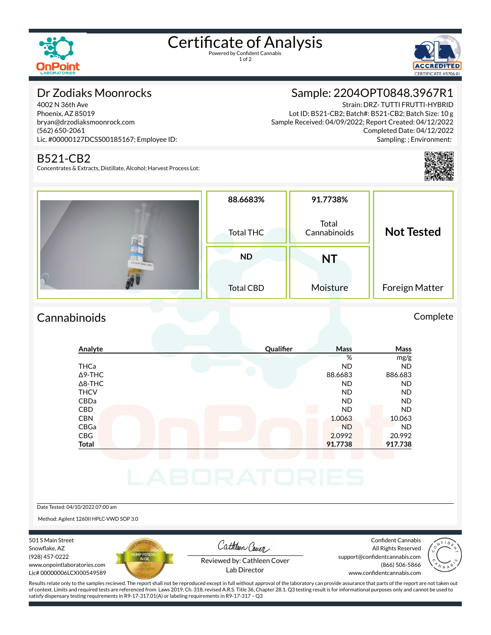

# Certificate of Analysis

1 of 2



# Dr Zodiaks Moonrocks

4002 N 36th Ave Phoenix, AZ 85019 bryan@drzodiaksmoonrock.com (562) 650-2061 Lic. #00000127DCSS00185167; Employee ID:

## B521-CB2

Concentrates & Extracts, Distillate, Alcohol; Harvest Process Lot:

# Sample: 2204OPT0848.3967R1

Strain: DRZ- TUTTI FRUTTI-HYBRID Lot ID: B521-CB2; Batch#: B521-CB2; Batch Size: 10 g Sample Received: 04/09/2022; Report Created: 04/12/2022 Completed Date: 04/12/2022 Sampling: ; Environment:



|                  | 88.6683%         | 91.7738%              |                   |
|------------------|------------------|-----------------------|-------------------|
|                  | <b>Total THC</b> | Total<br>Cannabinoids | <b>Not Tested</b> |
| 22040PT0848.3967 | <b>ND</b>        | <b>NT</b>             |                   |
|                  | <b>Total CBD</b> | Moisture              | Foreign Matter    |

# Cannabinoids Complete

### **Analyte Qualier Mass Mass** % mg/g THCa ND ND Δ9-THC 88.6683 886.683 886.683 Δ8-THC ND ND THCV ND ND CBDa ND ND CBD A RESIDENCE OF A RESIDENCE OF A RESIDENCE OF A RESIDENCE OF A RESIDENCE OF A RESIDENCE OF A RESIDENCE OF A CBN 10.063 10.063 CBGa ND ND CBG 2.0992 20.992 **Total 91.7738 917.738**

Date Tested: 04/10/2022 07:00 am

Method: Agilent 1260II HPLC-VWD SOP 3.0

501 S Main Street Snowflake, AZ (928) 457-0222 www.onpointlaboratories.com Lic# 00000006LCXI00549589



Cathleen Cover

Confident Cannabis All Rights Reserved support@confidentcannabis.com (866) 506-5866 www.confidentcannabis.com



Reviewed by: Cathleen Cover Lab Director

Results relate only to the samples recieved. The report shall not be reproduced except in full without approval of the laboratory can provide assurance that parts of the report are not taken out of context. Limits and required tests are referenced from Laws 2019, Ch. 318, revised A.R.S. Title 36, Chapter 28.1. Q3 testing result is for informational purposes only and cannot be used to satisfy dispensary testing requirements in R9-17-317.01(A) or labeling requirements in R9-17-317 – Q3